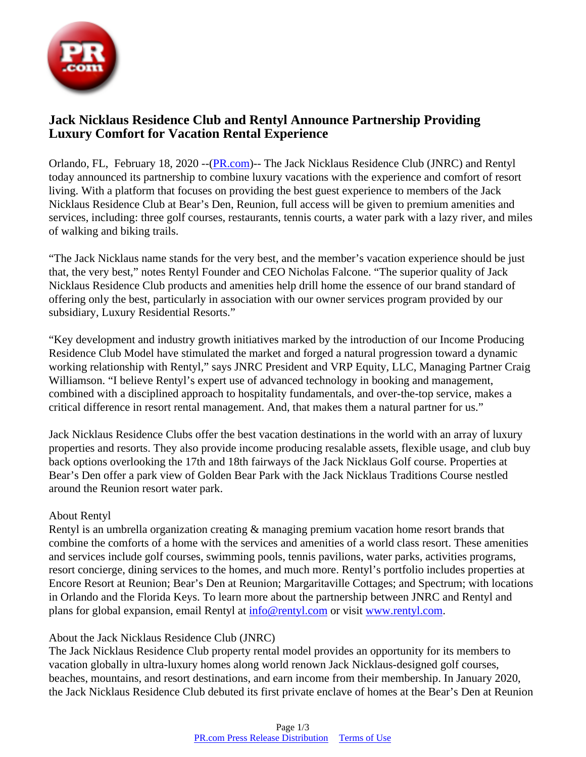

# **Jack Nicklaus Residence Club and Rentyl Announce Partnership Providing Luxury Comfort for Vacation Rental Experience**

Orlando, FL, February 18, 2020 --([PR.com](https://www.pr.com))-- The Jack Nicklaus Residence Club (JNRC) and Rentyl today announced its partnership to combine luxury vacations with the experience and comfort of resort living. With a platform that focuses on providing the best guest experience to members of the Jack Nicklaus Residence Club at Bear's Den, Reunion, full access will be given to premium amenities and services, including: three golf courses, restaurants, tennis courts, a water park with a lazy river, and miles of walking and biking trails.

"The Jack Nicklaus name stands for the very best, and the member's vacation experience should be just that, the very best," notes Rentyl Founder and CEO Nicholas Falcone. "The superior quality of Jack Nicklaus Residence Club products and amenities help drill home the essence of our brand standard of offering only the best, particularly in association with our owner services program provided by our subsidiary, Luxury Residential Resorts."

"Key development and industry growth initiatives marked by the introduction of our Income Producing Residence Club Model have stimulated the market and forged a natural progression toward a dynamic working relationship with Rentyl," says JNRC President and VRP Equity, LLC, Managing Partner Craig Williamson. "I believe Rentyl's expert use of advanced technology in booking and management, combined with a disciplined approach to hospitality fundamentals, and over-the-top service, makes a critical difference in resort rental management. And, that makes them a natural partner for us."

Jack Nicklaus Residence Clubs offer the best vacation destinations in the world with an array of luxury properties and resorts. They also provide income producing resalable assets, flexible usage, and club buy back options overlooking the 17th and 18th fairways of the Jack Nicklaus Golf course. Properties at Bear's Den offer a park view of Golden Bear Park with the Jack Nicklaus Traditions Course nestled around the Reunion resort water park.

#### About Rentyl

Rentyl is an umbrella organization creating & managing premium vacation home resort brands that combine the comforts of a home with the services and amenities of a world class resort. These amenities and services include golf courses, swimming pools, tennis pavilions, water parks, activities programs, resort concierge, dining services to the homes, and much more. Rentyl's portfolio includes properties at Encore Resort at Reunion; Bear's Den at Reunion; Margaritaville Cottages; and Spectrum; with locations in Orlando and the Florida Keys. To learn more about the partnership between JNRC and Rentyl and plans for global expansion, email Rentyl at [info@rentyl.com](mailto:info@rentyl.com) or visit [www.rentyl.com.](http://www.rentyl.com/)

#### About the Jack Nicklaus Residence Club (JNRC)

The Jack Nicklaus Residence Club property rental model provides an opportunity for its members to vacation globally in ultra-luxury homes along world renown Jack Nicklaus-designed golf courses, beaches, mountains, and resort destinations, and earn income from their membership. In January 2020, the Jack Nicklaus Residence Club debuted its first private enclave of homes at the Bear's Den at Reunion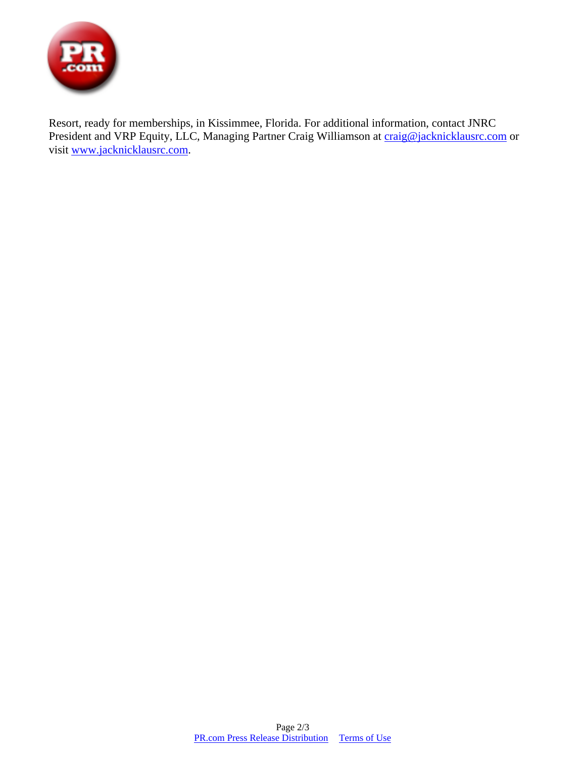

Resort, ready for memberships, in Kissimmee, Florida. For additional information, contact JNRC President and VRP Equity, LLC, Managing Partner Craig Williamson at [craig@jacknicklausrc.com](mailto:craig@jacknicklausrc.com) or visit [www.jacknicklausrc.com.](http://www.jacknicklausrc.com/)